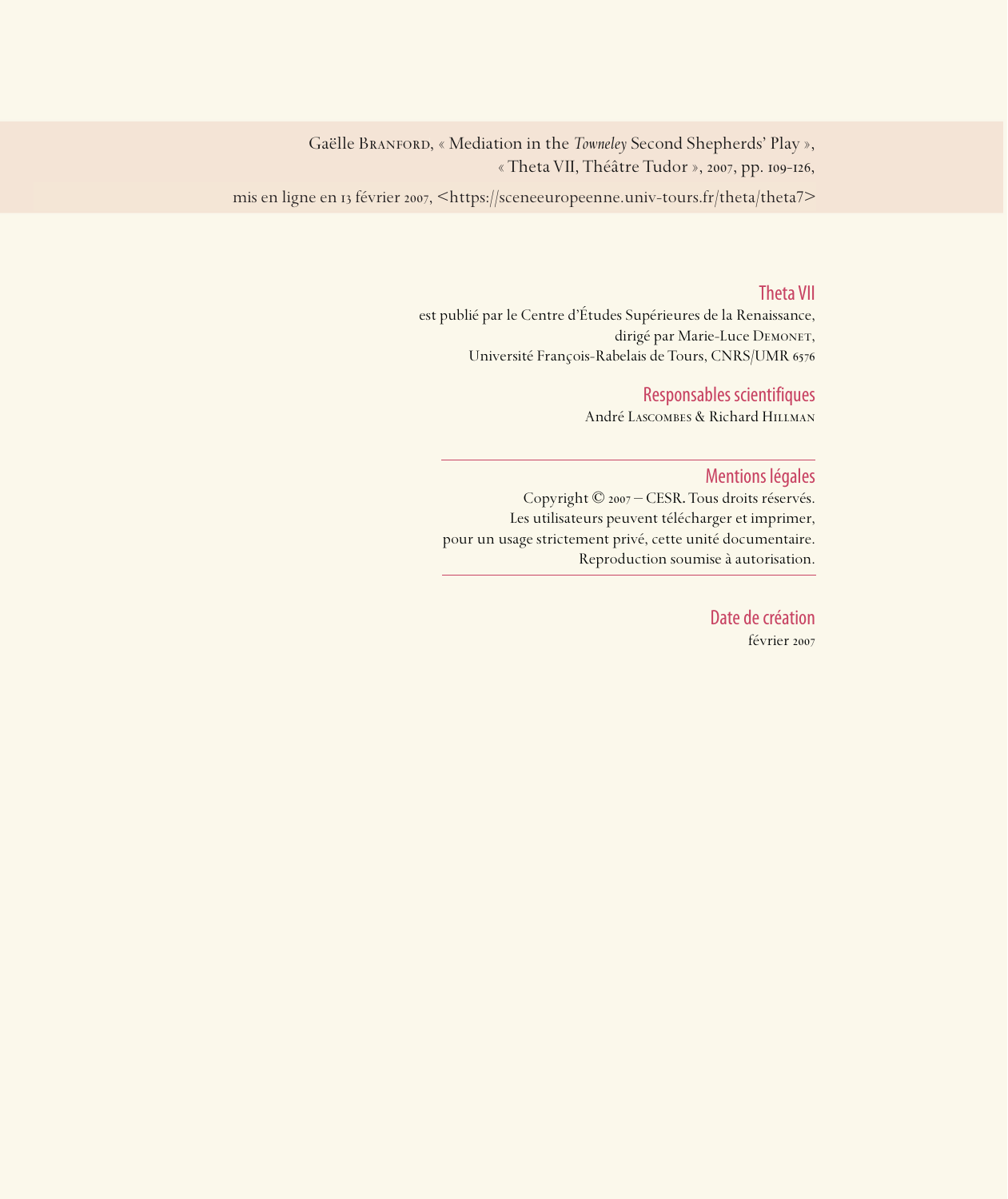Gaëlle BRANFORD, « Mediation in the *Towneley* Second Shepherds' Play », « Theta VII, Théâtre Tudor », 2007, pp. 109-126,

mis en ligne en 13 février 2007, <https://sceneeuropeenne.univ-tours.fr/theta/theta7>

#### Theta VII

est publié par le Centre d'Études Supérieures de la Renaissance, dirigé par Marie-Luce DEMONET, Université François-Rabelais de Tours, CNRS/UMR

### Responsables scientifiques

André Lascombes & Richard Hillman

#### Mentions légales

Copyright © 2007 – CESR. Tous droits réservés. Les utilisateurs peuvent télécharger et imprimer, pour un usage strictement privé, cette unité documentaire. Reproduction soumise à autorisation.

> Date de création février 2007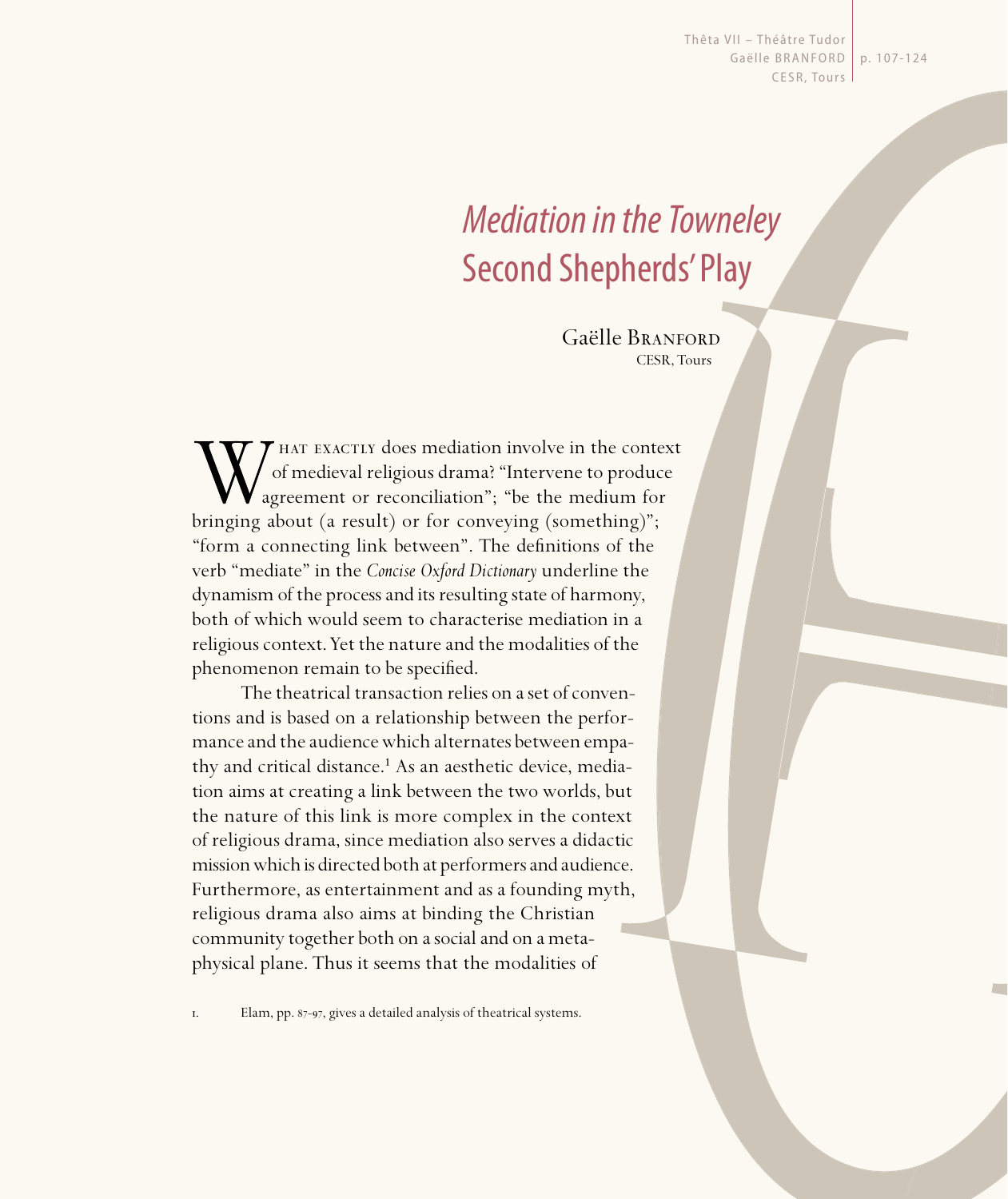Thêta VII - Théâtre Tudor Gaëlle BRANFORD | p. 107-124 CESR, Tours

# Mediation in the Towneley Second Shepherds' Play

Gaëlle Branford CESR, Tours

hat exactly does mediation involve in the context of medieval religious drama? "Intervene to produce agreement or reconciliation"; "be the medium for bringing about (a result) or for conveying (something)"; "form a connecting link between". The definitions of the verb "mediate" in the *Concise Oxford Dictionary* underline the dynamism of the process and its resulting state of harmony, both of which would seem to characterise mediation in a religious context. Yet the nature and the modalities of the phenomenon remain to be specified.

The theatrical transaction relies on a set of conventions and is based on a relationship between the performance and the audience which alternates between empathy and critical distance.<sup>1</sup> As an aesthetic device, mediation aims at creating a link between the two worlds, but the nature of this link is more complex in the context of religious drama, since mediation also serves a didactic mission which is directed both at performers and audience. Furthermore, as entertainment and as a founding myth, religious drama also aims at binding the Christian community together both on a social and on a metaphysical plane. Thus it seems that the modalities of

1. Elam, pp. 87-97, gives a detailed analysis of theatrical systems.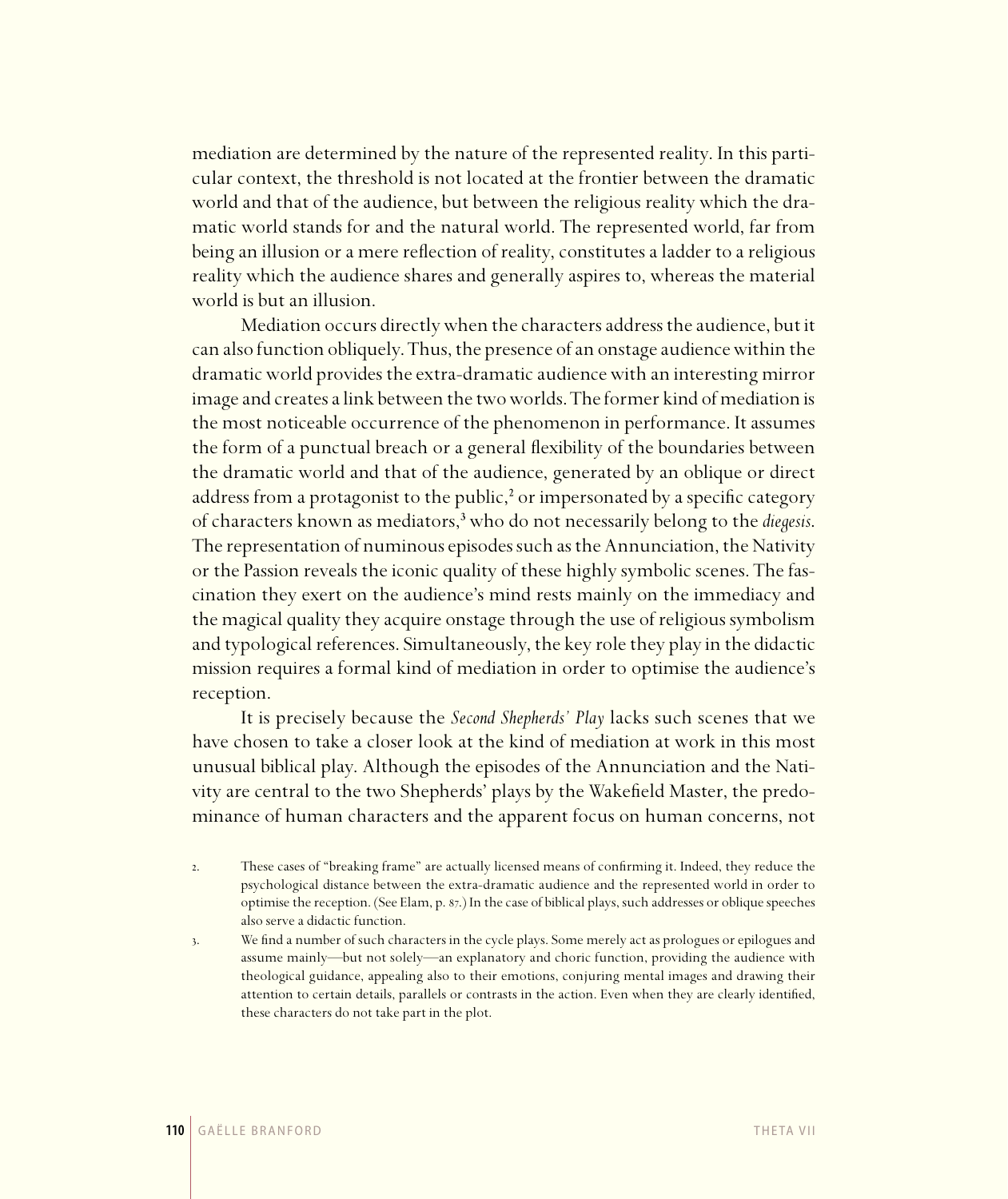mediation are determined by the nature of the represented reality. In this particular context, the threshold is not located at the frontier between the dramatic world and that of the audience, but between the religious reality which the dramatic world stands for and the natural world. The represented world, far from being an illusion or a mere reflection of reality, constitutes a ladder to a religious reality which the audience shares and generally aspires to, whereas the material world is but an illusion.

Mediation occurs directly when the characters address the audience, but it can also function obliquely. Thus, the presence of an onstage audience within the dramatic world provides the extra-dramatic audience with an interesting mirror image and creates a link between the two worlds. The former kind of mediation is the most noticeable occurrence of the phenomenon in performance. It assumes the form of a punctual breach or a general flexibility of the boundaries between the dramatic world and that of the audience, generated by an oblique or direct address from a protagonist to the public,<sup>2</sup> or impersonated by a specific category of characters known as mediators,³ who do not necessarily belong to the *diegesis*. The representation of numinous episodes such as the Annunciation, the Nativity or the Passion reveals the iconic quality of these highly symbolic scenes. The fascination they exert on the audience's mind rests mainly on the immediacy and the magical quality they acquire onstage through the use of religious symbolism and typological references. Simultaneously, the key role they play in the didactic mission requires a formal kind of mediation in order to optimise the audience's reception.

It is precisely because the *Second Shepherds' Play* lacks such scenes that we have chosen to take a closer look at the kind of mediation at work in this most unusual biblical play. Although the episodes of the Annunciation and the Nativity are central to the two Shepherds' plays by the Wakefield Master, the predominance of human characters and the apparent focus on human concerns, not

. These cases of "breaking frame" are actually licensed means of confirming it. Indeed, they reduce the psychological distance between the extra-dramatic audience and the represented world in order to optimise the reception. (See Elam, p. 87.) In the case of biblical plays, such addresses or oblique speeches also serve a didactic function.

. We find a number of such characters in the cycle plays. Some merely act as prologues or epilogues and assume mainly—but not solely—an explanatory and choric function, providing the audience with theological guidance, appealing also to their emotions, conjuring mental images and drawing their attention to certain details, parallels or contrasts in the action. Even when they are clearly identified, these characters do not take part in the plot.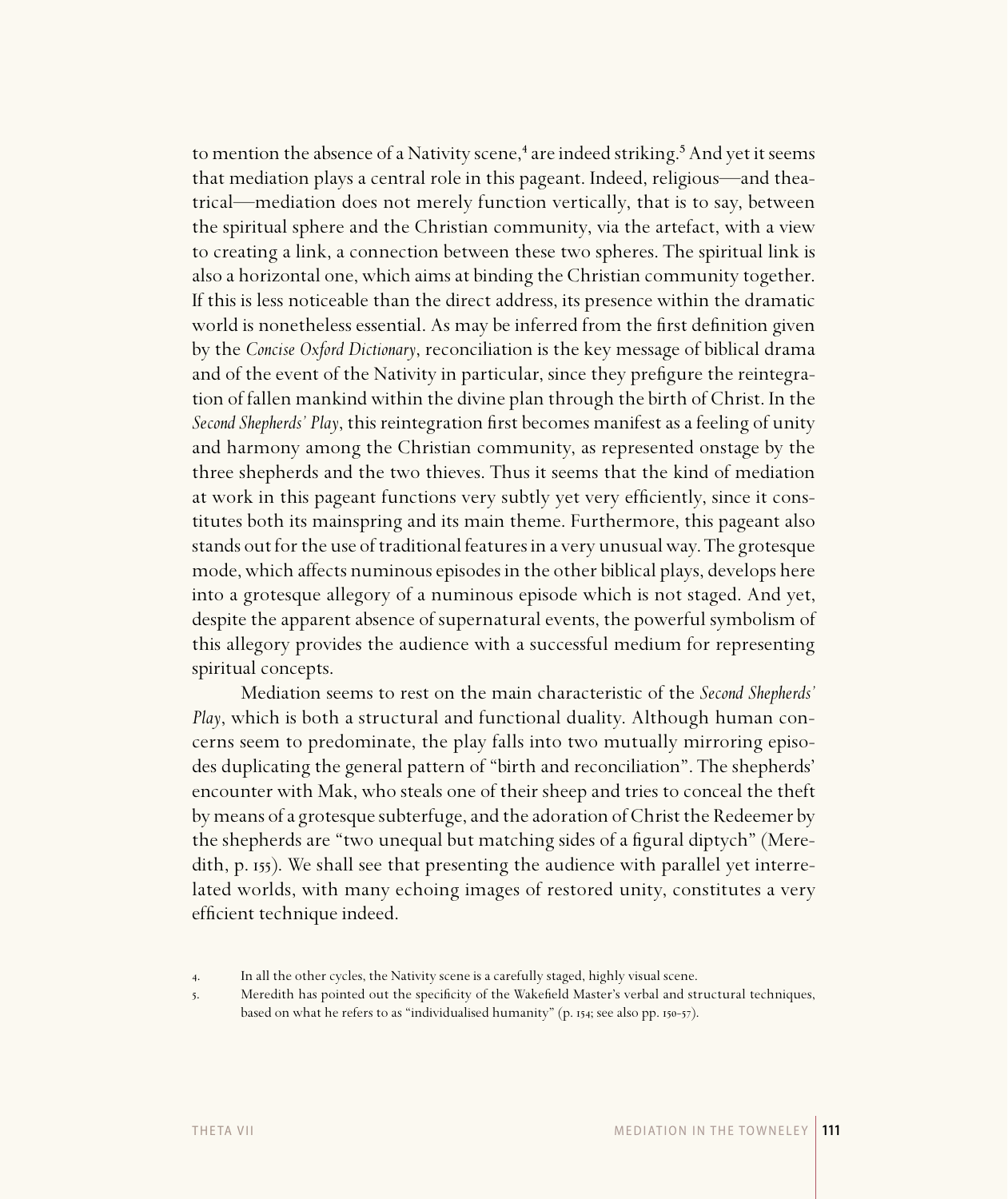to mention the absence of a Nativity scene,<sup>4</sup> are indeed striking.<sup>5</sup> And yet it seems that mediation plays a central role in this pageant. Indeed, religious—and theatrical—mediation does not merely function vertically, that is to say, between the spiritual sphere and the Christian community, via the artefact, with a view to creating a link, a connection between these two spheres. The spiritual link is also a horizontal one, which aims at binding the Christian community together. If this is less noticeable than the direct address, its presence within the dramatic world is nonetheless essential. As may be inferred from the first definition given by the *Concise Oxford Dictionary*, reconciliation is the key message of biblical drama and of the event of the Nativity in particular, since they prefigure the reintegration of fallen mankind within the divine plan through the birth of Christ. In the *Second Shepherds' Play, this reintegration first becomes manifest as a feeling of unity* and harmony among the Christian community, as represented onstage by the three shepherds and the two thieves. Thus it seems that the kind of mediation at work in this pageant functions very subtly yet very efficiently, since it constitutes both its mainspring and its main theme. Furthermore, this pageant also stands out for the use of traditional features in a very unusual way. The grotesque mode, which affects numinous episodes in the other biblical plays, develops here into a grotesque allegory of a numinous episode which is not staged. And yet, despite the apparent absence of supernatural events, the powerful symbolism of this allegory provides the audience with a successful medium for representing spiritual concepts.

Mediation seems to rest on the main characteristic of the *Second Shepherds' Play*, which is both a structural and functional duality. Although human concerns seem to predominate, the play falls into two mutually mirroring episodes duplicating the general pattern of "birth and reconciliation". The shepherds' encounter with Mak, who steals one of their sheep and tries to conceal the theft by means of a grotesque subterfuge, and the adoration of Christ the Redeemer by the shepherds are "two unequal but matching sides of a figural diptych" (Meredith, p. 155). We shall see that presenting the audience with parallel yet interrelated worlds, with many echoing images of restored unity, constitutes a very efficient technique indeed.

based on what he refers to as "individualised humanity" (p. 154; see also pp. 150-57).

5. Meredith has pointed out the specificity of the Wakefield Master's verbal and structural techniques,

T H E TA V I I M E D I AT I O N I N T H E TO W N E L E Y **111**

<sup>.</sup> In all the other cycles, the Nativity scene is a carefully staged, highly visual scene.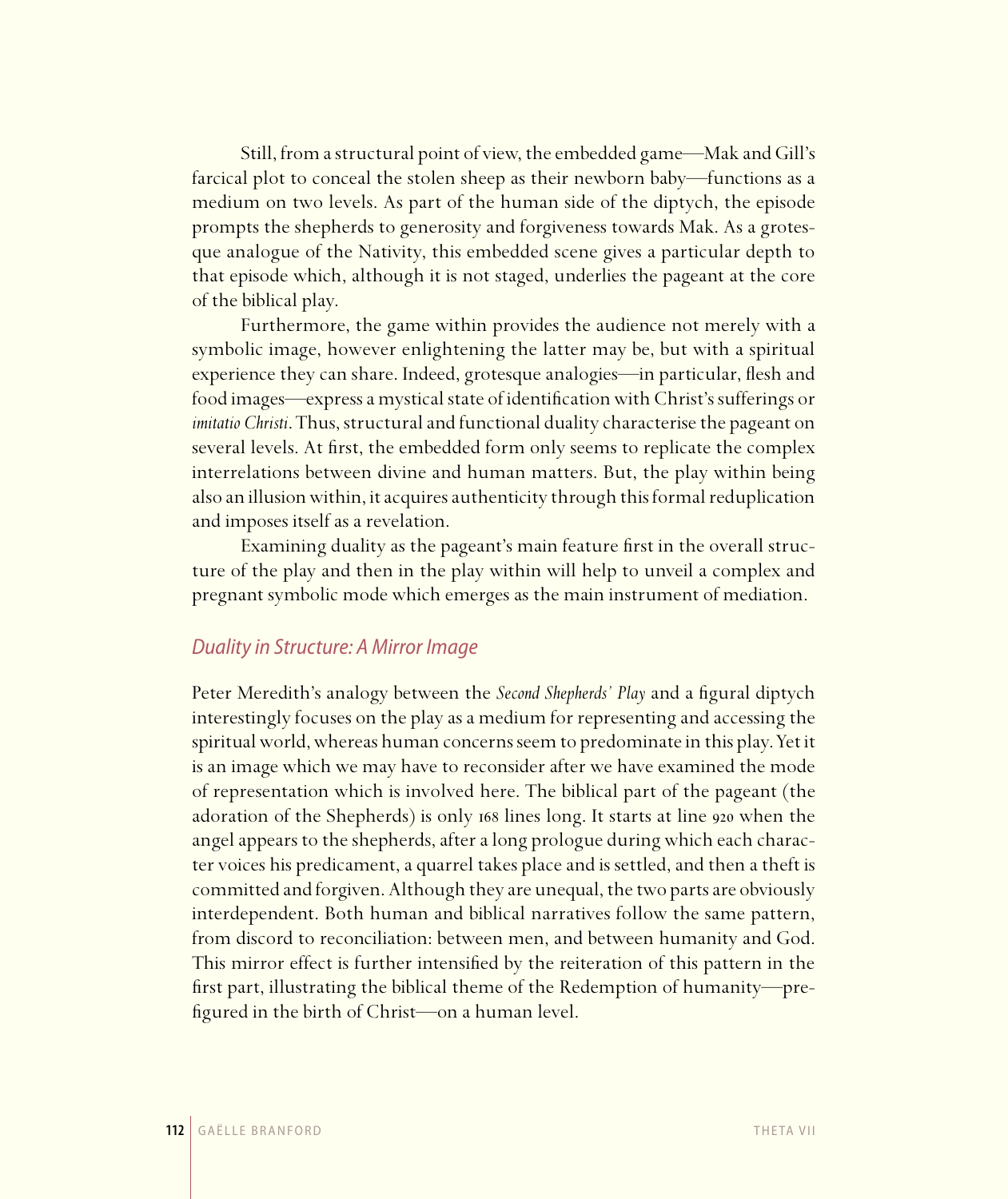Still, from a structural point of view, the embedded game—Mak and Gill's farcical plot to conceal the stolen sheep as their newborn baby—functions as a medium on two levels. As part of the human side of the diptych, the episode prompts the shepherds to generosity and forgiveness towards Mak. As a grotesque analogue of the Nativity, this embedded scene gives a particular depth to that episode which, although it is not staged, underlies the pageant at the core of the biblical play.

Furthermore, the game within provides the audience not merely with a symbolic image, however enlightening the latter may be, but with a spiritual experience they can share. Indeed, grotesque analogies—in particular, flesh and food images—express a mystical state of identification with Christ's sufferings or *imitatio Christi*. Thus, structural and functional duality characterise the pageant on several levels. At first, the embedded form only seems to replicate the complex interrelations between divine and human matters. But, the play within being also an illusion within, it acquires authenticity through this formal reduplication and imposes itself as a revelation.

Examining duality as the pageant's main feature first in the overall structure of the play and then in the play within will help to unveil a complex and pregnant symbolic mode which emerges as the main instrument of mediation.

# Duality in Structure: A Mirror Image

Peter Meredith's analogy between the *Second Shepherds' Play* and a figural diptych interestingly focuses on the play as a medium for representing and accessing the spiritual world, whereas human concerns seem to predominate in this play. Yet it is an image which we may have to reconsider after we have examined the mode of representation which is involved here. The biblical part of the pageant (the adoration of the Shepherds) is only 168 lines long. It starts at line 920 when the angel appears to the shepherds, after a long prologue during which each character voices his predicament, a quarrel takes place and is settled, and then a theft is committed and forgiven. Although they are unequal, the two parts are obviously interdependent. Both human and biblical narratives follow the same pattern, from discord to reconciliation: between men, and between humanity and God. This mirror effect is further intensified by the reiteration of this pattern in the first part, illustrating the biblical theme of the Redemption of humanity—prefigured in the birth of Christ—on a human level.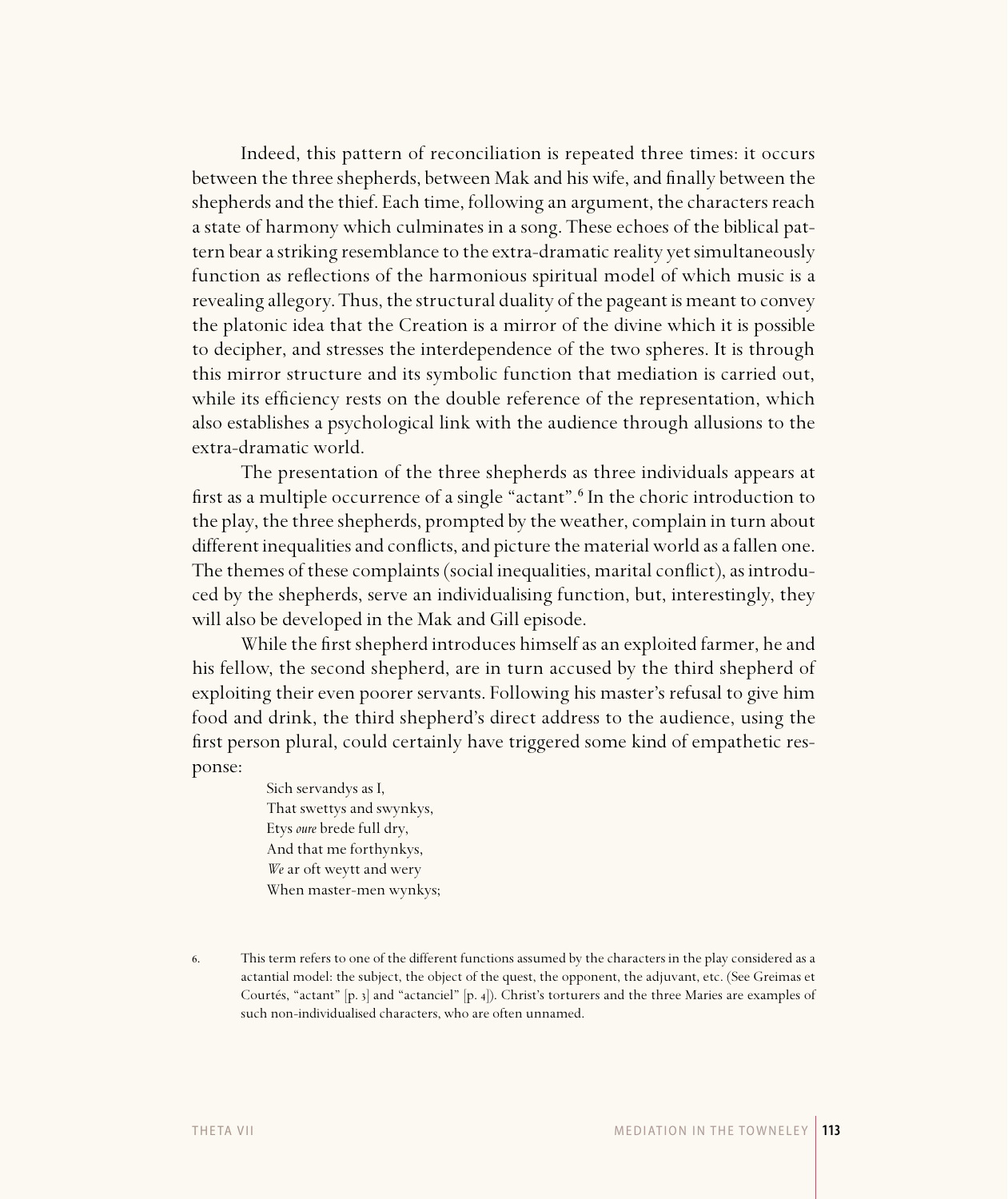Indeed, this pattern of reconciliation is repeated three times: it occurs between the three shepherds, between Mak and his wife, and finally between the shepherds and the thief. Each time, following an argument, the characters reach a state of harmony which culminates in a song. These echoes of the biblical pattern bear a striking resemblance to the extra-dramatic reality yet simultaneously function as reflections of the harmonious spiritual model of which music is a revealing allegory. Thus, the structural duality of the pageant is meant to convey the platonic idea that the Creation is a mirror of the divine which it is possible to decipher, and stresses the interdependence of the two spheres. It is through this mirror structure and its symbolic function that mediation is carried out, while its efficiency rests on the double reference of the representation, which also establishes a psychological link with the audience through allusions to the extra-dramatic world.

The presentation of the three shepherds as three individuals appears at first as a multiple occurrence of a single "actant".<sup>6</sup> In the choric introduction to the play, the three shepherds, prompted by the weather, complain in turn about different inequalities and conflicts, and picture the material world as a fallen one. The themes of these complaints (social inequalities, marital conflict), as introduced by the shepherds, serve an individualising function, but, interestingly, they will also be developed in the Mak and Gill episode.

While the first shepherd introduces himself as an exploited farmer, he and his fellow, the second shepherd, are in turn accused by the third shepherd of exploiting their even poorer servants. Following his master's refusal to give him food and drink, the third shepherd's direct address to the audience, using the first person plural, could certainly have triggered some kind of empathetic response:

> Sich servandys as I, That swettys and swynkys, Etys *oure* brede full dry, And that me forthynkys, *We* ar oft weytt and wery When master-men wynkys;

<sup>.</sup> This term refers to one of the different functions assumed by the characters in the play considered as a actantial model: the subject, the object of the quest, the opponent, the adjuvant, etc. (See Greimas et Courtés, "actant" [p. 3] and "actanciel" [p. 4]). Christ's torturers and the three Maries are examples of such non-individualised characters, who are often unnamed.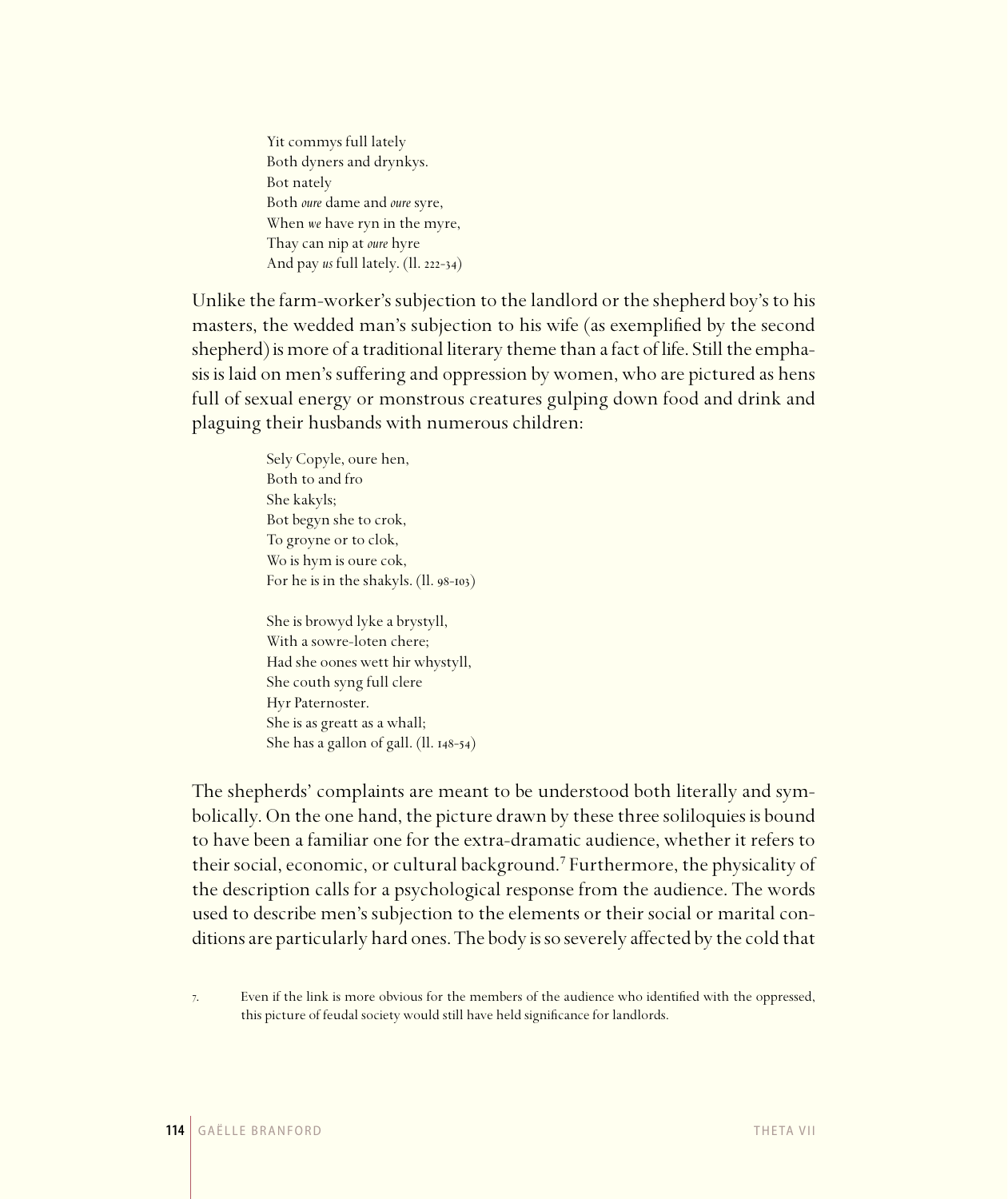Yit commys full lately Both dyners and drynkys. Bot nately Both *oure* dame and *oure* syre, When *we* have ryn in the myre, Thay can nip at *oure* hyre And pay *us* full lately. (ll. 222-34)

Unlike the farm-worker's subjection to the landlord or the shepherd boy's to his masters, the wedded man's subjection to his wife (as exemplified by the second shepherd) is more of a traditional literary theme than a fact of life. Still the emphasis is laid on men's suffering and oppression by women, who are pictured as hens full of sexual energy or monstrous creatures gulping down food and drink and plaguing their husbands with numerous children:

> Sely Copyle, oure hen, Both to and fro She kakyls; Bot begyn she to crok, To groyne or to clok, Wo is hym is oure cok, For he is in the shakyls.  $(11.98-103)$

> She is browyd lyke a brystyll, With a sowre-loten chere; Had she oones wett hir whystyll, She couth syng full clere Hyr Paternoster. She is as greatt as a whall; She has a gallon of gall.  $(II. 148-54)$

The shepherds' complaints are meant to be understood both literally and symbolically. On the one hand, the picture drawn by these three soliloquies is bound to have been a familiar one for the extra-dramatic audience, whether it refers to their social, economic, or cultural background.<sup>7</sup> Furthermore, the physicality of the description calls for a psychological response from the audience. The words used to describe men's subjection to the elements or their social or marital conditions are particularly hard ones. The body is so severely affected by the cold that

. Even if the link is more obvious for the members of the audience who identified with the oppressed, this picture of feudal society would still have held significance for landlords.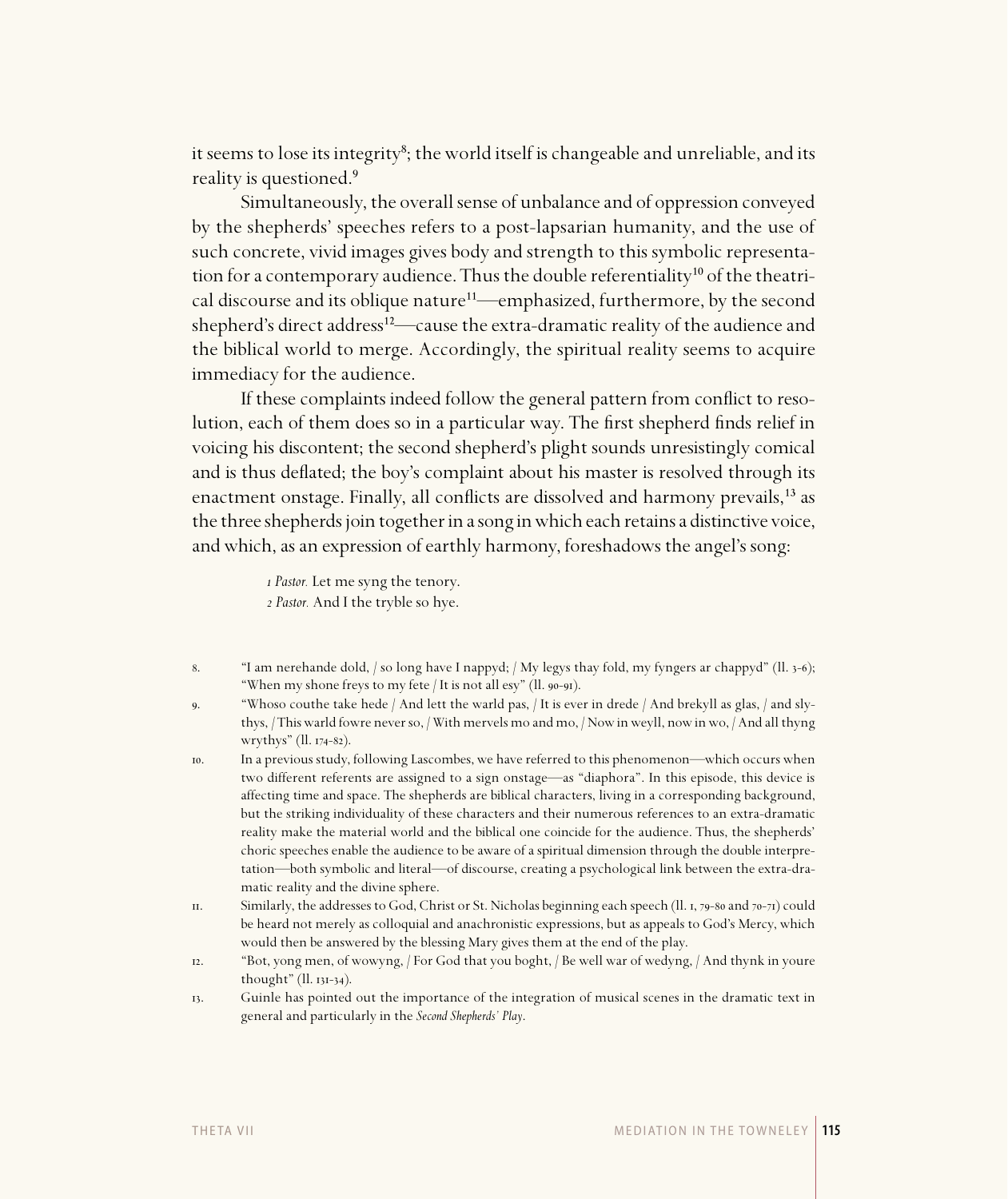it seems to lose its integrity<sup>8</sup>; the world itself is changeable and unreliable, and its reality is questioned.<sup>9</sup>

Simultaneously, the overall sense of unbalance and of oppression conveyed by the shepherds' speeches refers to a post-lapsarian humanity, and the use of such concrete, vivid images gives body and strength to this symbolic representation for a contemporary audience. Thus the double referentiality<sup>10</sup> of the theatrical discourse and its oblique nature<sup>11</sup>—emphasized, furthermore, by the second shepherd's direct address<sup>12</sup>—cause the extra-dramatic reality of the audience and the biblical world to merge. Accordingly, the spiritual reality seems to acquire immediacy for the audience.

If these complaints indeed follow the general pattern from conflict to resolution, each of them does so in a particular way. The first shepherd finds relief in voicing his discontent; the second shepherd's plight sounds unresistingly comical and is thus deflated; the boy's complaint about his master is resolved through its enactment onstage. Finally, all conflicts are dissolved and harmony prevails,<sup>13</sup> as the three shepherds join together in a song in which each retains a distinctive voice, and which, as an expression of earthly harmony, foreshadows the angel's song:

> *Pastor.* Let me syng the tenory.  *Pastor.* And I the tryble so hye.

- 8. "I am nerehande dold, / so long have I nappyd; / My legys thay fold, my fyngers ar chappyd" (ll. 3-6); "When my shone freys to my fete / It is not all esy" (ll.  $90-9I$ ).
- . "Whoso couthe take hede / And lett the warld pas, / It is ever in drede / And brekyll as glas, / and slythys, / This warld fowre never so, / With mervels mo and mo, / Now in weyll, now in wo, / And all thyng wrythys" (ll. 174-82).
- . In a previous study, following Lascombes, we have referred to this phenomenon—which occurs when two different referents are assigned to a sign onstage—as "diaphora". In this episode, this device is affecting time and space. The shepherds are biblical characters, living in a corresponding background, but the striking individuality of these characters and their numerous references to an extra-dramatic reality make the material world and the biblical one coincide for the audience. Thus, the shepherds' choric speeches enable the audience to be aware of a spiritual dimension through the double interpretation—both symbolic and literal—of discourse, creating a psychological link between the extra-dramatic reality and the divine sphere.
- II. Similarly, the addresses to God, Christ or St. Nicholas beginning each speech (ll. 1, 79-80 and 70-71) could be heard not merely as colloquial and anachronistic expressions, but as appeals to God's Mercy, which would then be answered by the blessing Mary gives them at the end of the play.
- . "Bot, yong men, of wowyng, / For God that you boght, / Be well war of wedyng, / And thynk in youre thought"  $(II. 13I-34).$
- . Guinle has pointed out the importance of the integration of musical scenes in the dramatic text in general and particularly in the *Second Shepherds' Play*.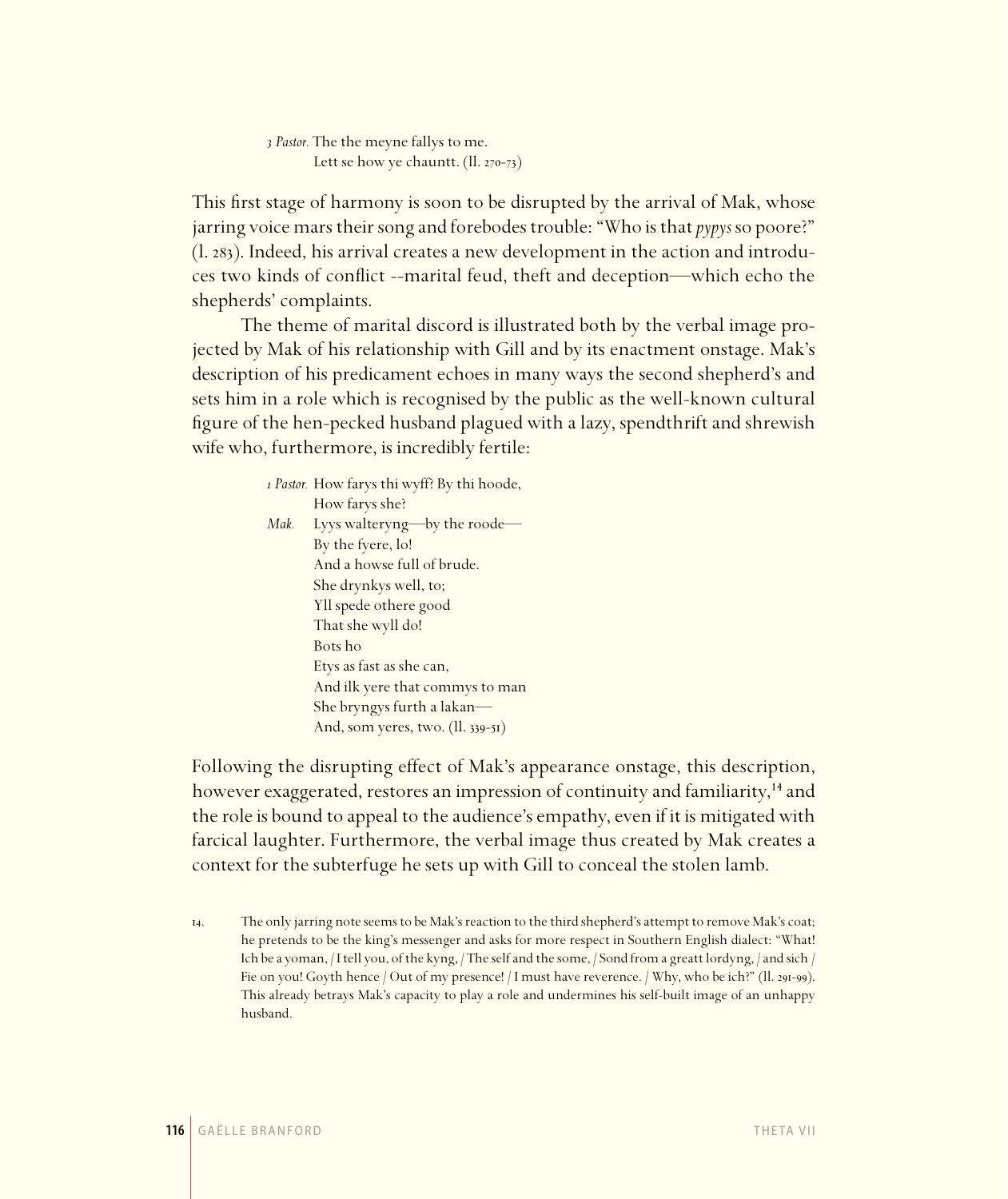*Pastor.* The the meyne fallys to me. Lett se how ye chauntt.  $(II. 270-73)$ 

This first stage of harmony is soon to be disrupted by the arrival of Mak, whose jarring voice mars their song and forebodes trouble: "Who is that *pypys* so poore?" (l. 283). Indeed, his arrival creates a new development in the action and introduces two kinds of conflict --marital feud, theft and deception—which echo the shepherds' complaints.

The theme of marital discord is illustrated both by the verbal image projected by Mak of his relationship with Gill and by its enactment onstage. Mak's description of his predicament echoes in many ways the second shepherd's and sets him in a role which is recognised by the public as the well-known cultural figure of the hen-pecked husband plagued with a lazy, spendthrift and shrewish wife who, furthermore, is incredibly fertile:

|      | <i>i Pastor.</i> How farys thi wyff? By thi hoode, |
|------|----------------------------------------------------|
|      | How farys she?                                     |
| Mak. | Lyys walteryng—by the roode-                       |
|      | By the fyere, lo!                                  |
|      | And a howse full of brude.                         |
|      | She drynkys well, to;                              |
|      | Yll spede othere good                              |
|      | That she wyll do!                                  |
|      | Bots ho                                            |
|      | Etys as fast as she can,                           |
|      | And ilk yere that commys to man                    |
|      | She bryngys furth a lakan-                         |
|      | And, som yeres, two. (ll. 339-51)                  |

Following the disrupting effect of Mak's appearance onstage, this description, however exaggerated, restores an impression of continuity and familiarity,<sup>14</sup> and the role is bound to appeal to the audience's empathy, even if it is mitigated with farcical laughter. Furthermore, the verbal image thus created by Mak creates a context for the subterfuge he sets up with Gill to conceal the stolen lamb.

<sup>.</sup> The only jarring note seems to be Mak's reaction to the third shepherd's attempt to remove Mak's coat; he pretends to be the king's messenger and asks for more respect in Southern English dialect: "What! Ich be a yoman, / I tell you, of the kyng, / The self and the some, / Sond from a greatt lordyng, / and sich / Fie on you! Goyth hence / Out of my presence! / I must have reverence. / Why, who be ich?" (ll. 291-99). This already betrays Mak's capacity to play a role and undermines his self-built image of an unhappy husband.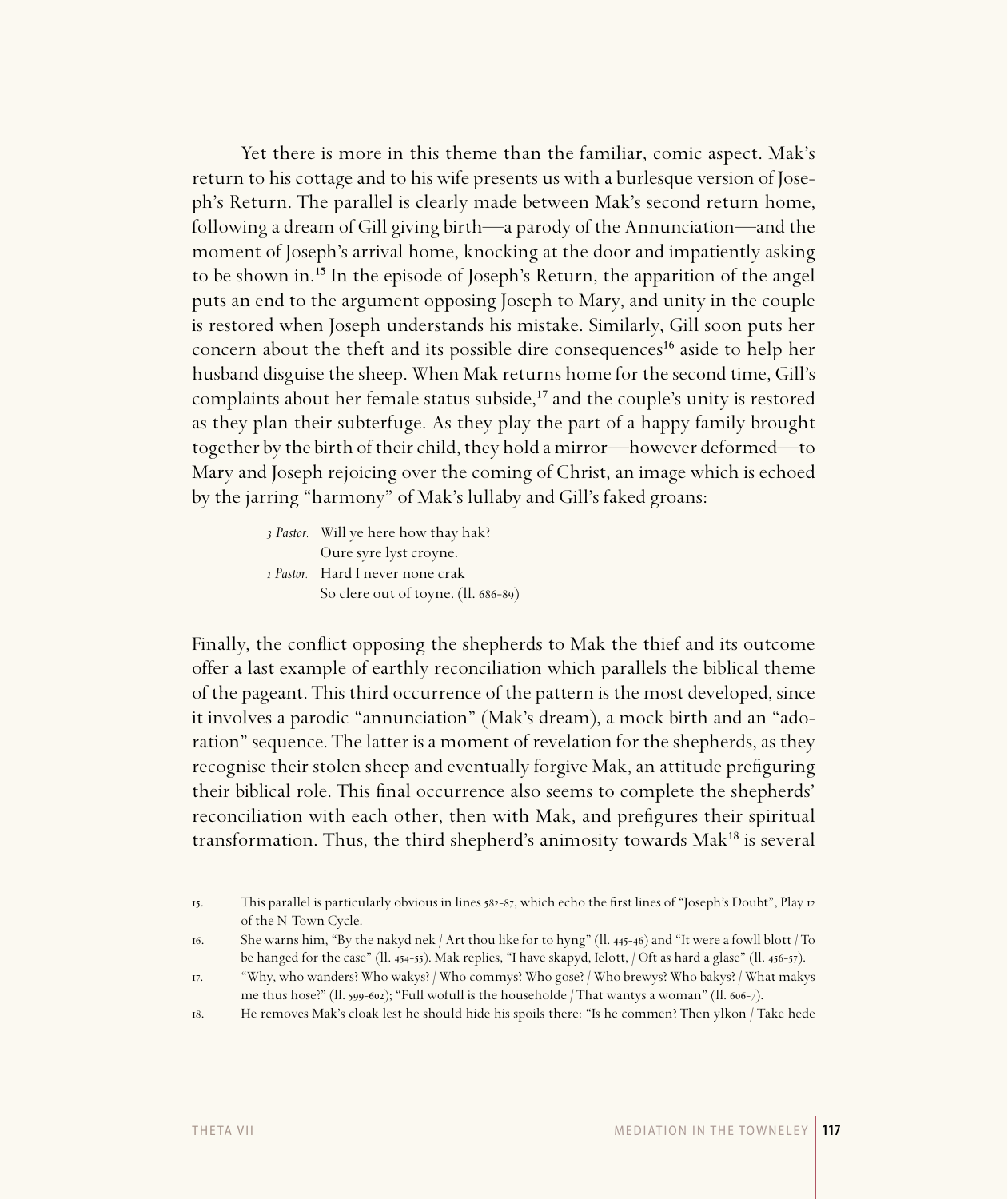Yet there is more in this theme than the familiar, comic aspect. Mak's return to his cottage and to his wife presents us with a burlesque version of Joseph's Return. The parallel is clearly made between Mak's second return home, following a dream of Gill giving birth—a parody of the Annunciation—and the moment of Joseph's arrival home, knocking at the door and impatiently asking to be shown in.<sup>15</sup> In the episode of Joseph's Return, the apparition of the angel puts an end to the argument opposing Joseph to Mary, and unity in the couple is restored when Joseph understands his mistake. Similarly, Gill soon puts her concern about the theft and its possible dire consequences<sup>16</sup> aside to help her husband disguise the sheep. When Mak returns home for the second time, Gill's complaints about her female status subside,<sup>17</sup> and the couple's unity is restored as they plan their subterfuge. As they play the part of a happy family brought together by the birth of their child, they hold a mirror—however deformed—to Mary and Joseph rejoicing over the coming of Christ, an image which is echoed by the jarring "harmony" of Mak's lullaby and Gill's faked groans:

> *Pastor.* Will ye here how thay hak? Oure syre lyst croyne.  *Pastor.* Hard I never none crak So clere out of toyne. (ll. 686-89)

Finally, the conflict opposing the shepherds to Mak the thief and its outcome offer a last example of earthly reconciliation which parallels the biblical theme of the pageant. This third occurrence of the pattern is the most developed, since it involves a parodic "annunciation" (Mak's dream), a mock birth and an "adoration" sequence. The latter is a moment of revelation for the shepherds, as they recognise their stolen sheep and eventually forgive Mak, an attitude prefiguring their biblical role. This final occurrence also seems to complete the shepherds' reconciliation with each other, then with Mak, and prefigures their spiritual transformation. Thus, the third shepherd's animosity towards Mak<sup>18</sup> is several

<sup>15.</sup> This parallel is particularly obvious in lines 582-87, which echo the first lines of "Joseph's Doubt", Play 12 of the N-Town Cycle.

<sup>16.</sup> She warns him, "By the nakyd nek / Art thou like for to hyng" ( $\ln 445-46$ ) and "It were a fowll blott / To be hanged for the case" (ll.  $_{454-55}$ ). Mak replies, "I have skapyd, Ielott, / Oft as hard a glase" (ll.  $_{456-57}$ ).

<sup>.</sup> "Why, who wanders? Who wakys? / Who commys? Who gose? / Who brewys? Who bakys? / What makys me thus hose?" (ll. 599-602); "Full wofull is the householde / That wantys a woman" (ll. 606-7).

<sup>.</sup> He removes Mak's cloak lest he should hide his spoils there: "Is he commen? Then ylkon / Take hede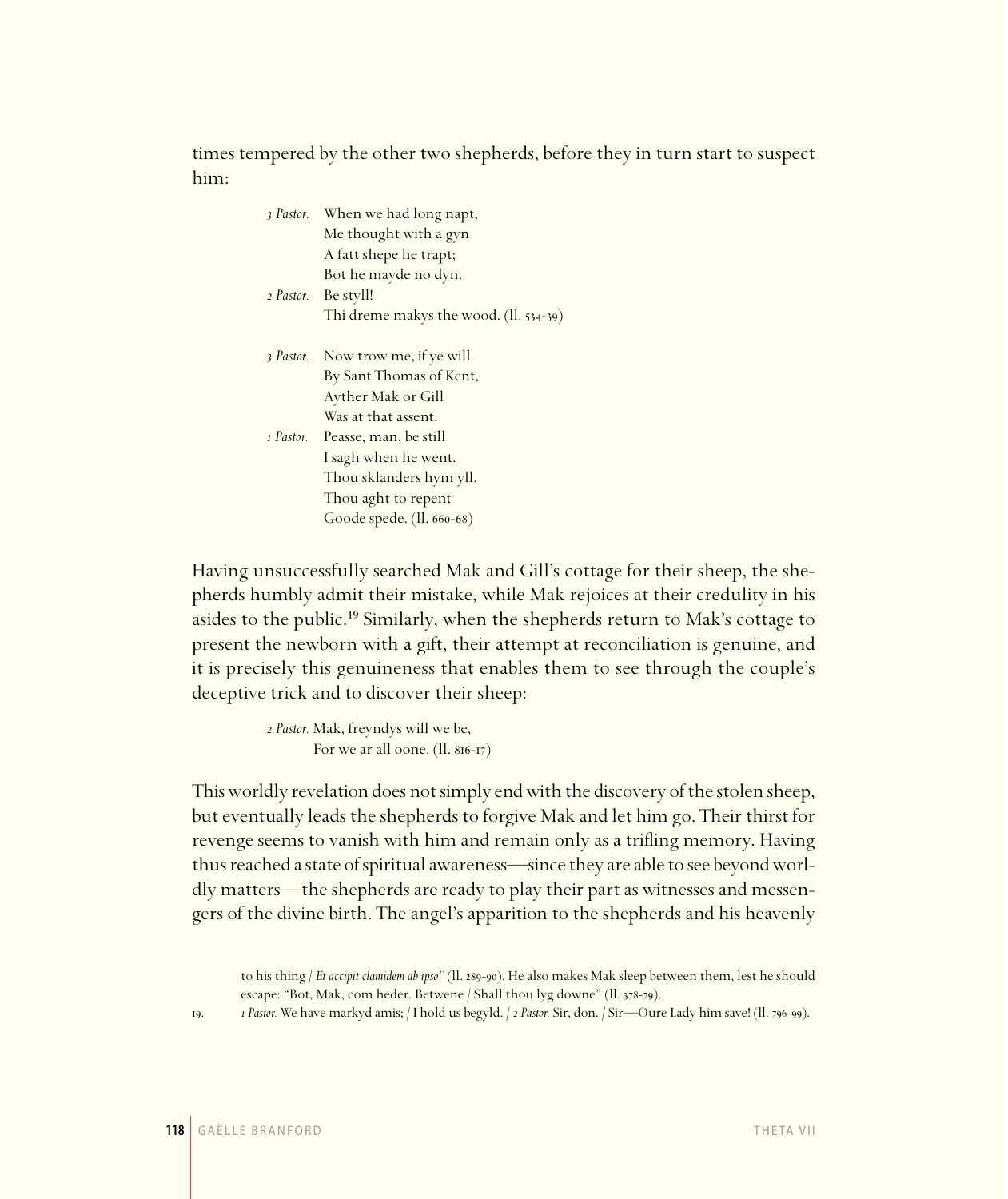times tempered by the other two shepherds, before they in turn start to suspect him:

| 3 Pastor. | When we had long napt,                   |
|-----------|------------------------------------------|
|           | Me thought with a gyn                    |
|           | A fatt shepe he trapt;                   |
|           | Bot he mayde no dyn.                     |
| 2 Pastor. | Be styll!                                |
|           | Thi dreme makys the wood. $(II. 534-39)$ |
|           |                                          |
| 3 Pastor. | Now trow me, if ye will                  |
|           | By Sant Thomas of Kent,                  |
|           | Ayther Mak or Gill                       |
|           | Was at that assent.                      |
| 1 Pastor. | Peasse, man, be still                    |
|           | I sagh when he went.                     |
|           | Thou sklanders hym yll.                  |
|           | Thou aght to repent                      |
|           | Goode spede. (ll. 660-68)                |

Having unsuccessfully searched Mak and Gill's cottage for their sheep, the shepherds humbly admit their mistake, while Mak rejoices at their credulity in his asides to the public.<sup>19</sup> Similarly, when the shepherds return to Mak's cottage to present the newborn with a gift, their attempt at reconciliation is genuine, and it is precisely this genuineness that enables them to see through the couple's deceptive trick and to discover their sheep:

> *Pastor.* Mak, freyndys will we be, For we ar all oone.  $(ll. 816-17)$

This worldly revelation does not simply end with the discovery of the stolen sheep, but eventually leads the shepherds to forgive Mak and let him go. Their thirst for revenge seems to vanish with him and remain only as a trifling memory. Having thus reached a state of spiritual awareness—since they are able to see beyond worldly matters—the shepherds are ready to play their part as witnesses and messengers of the divine birth. The angel's apparition to the shepherds and his heavenly

to his thing / *Et accipit clamidem ab ipso*" (11. 289-90). He also makes Mak sleep between them, lest he should escape: "Bot, Mak, com heder. Betwene / Shall thou lyg downe" (ll. 378-79).

<sup>19.</sup> *1 Pastor.* We have markyd amis; / I hold us begyld. / *2 Pastor.* Sir, don. / Sir—Oure Lady him save! (1l. 796-99).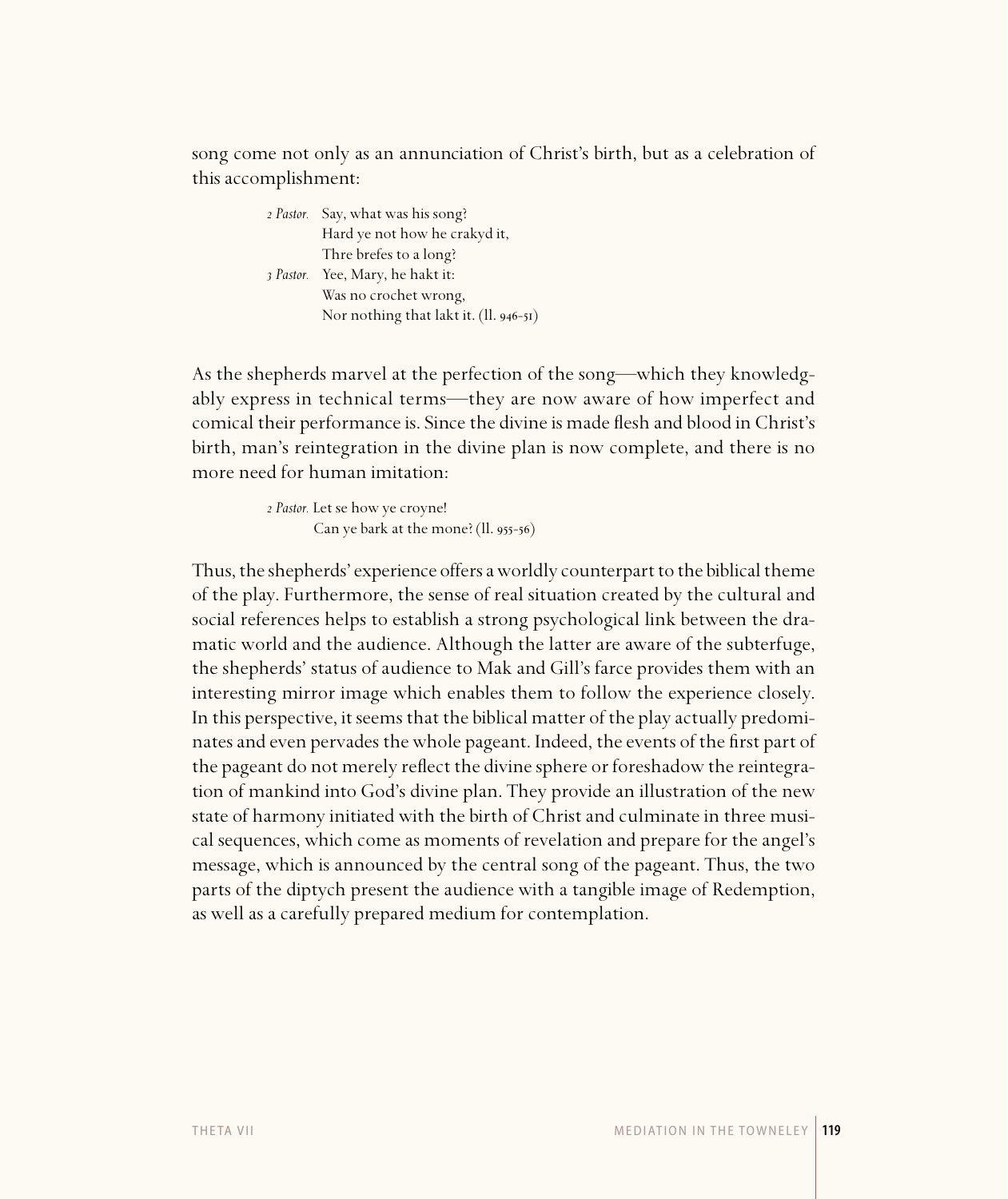song come not only as an annunciation of Christ's birth, but as a celebration of this accomplishment:

> *Pastor.* Say, what was his song? Hard ye not how he crakyd it, Thre brefes to a long?  *Pastor.* Yee, Mary, he hakt it: Was no crochet wrong, Nor nothing that lakt it.  $(II. 946-5I)$

As the shepherds marvel at the perfection of the song—which they knowledgably express in technical terms—they are now aware of how imperfect and comical their performance is. Since the divine is made flesh and blood in Christ's birth, man's reintegration in the divine plan is now complete, and there is no more need for human imitation:

> *Pastor.* Let se how ye croyne! Can ye bark at the mone?  $(11.955-56)$

Thus, the shepherds' experience offers a worldly counterpart to the biblical theme of the play. Furthermore, the sense of real situation created by the cultural and social references helps to establish a strong psychological link between the dramatic world and the audience. Although the latter are aware of the subterfuge, the shepherds' status of audience to Mak and Gill's farce provides them with an interesting mirror image which enables them to follow the experience closely. In this perspective, it seems that the biblical matter of the play actually predominates and even pervades the whole pageant. Indeed, the events of the first part of the pageant do not merely reflect the divine sphere or foreshadow the reintegration of mankind into God's divine plan. They provide an illustration of the new state of harmony initiated with the birth of Christ and culminate in three musical sequences, which come as moments of revelation and prepare for the angel's message, which is announced by the central song of the pageant. Thus, the two parts of the diptych present the audience with a tangible image of Redemption, as well as a carefully prepared medium for contemplation.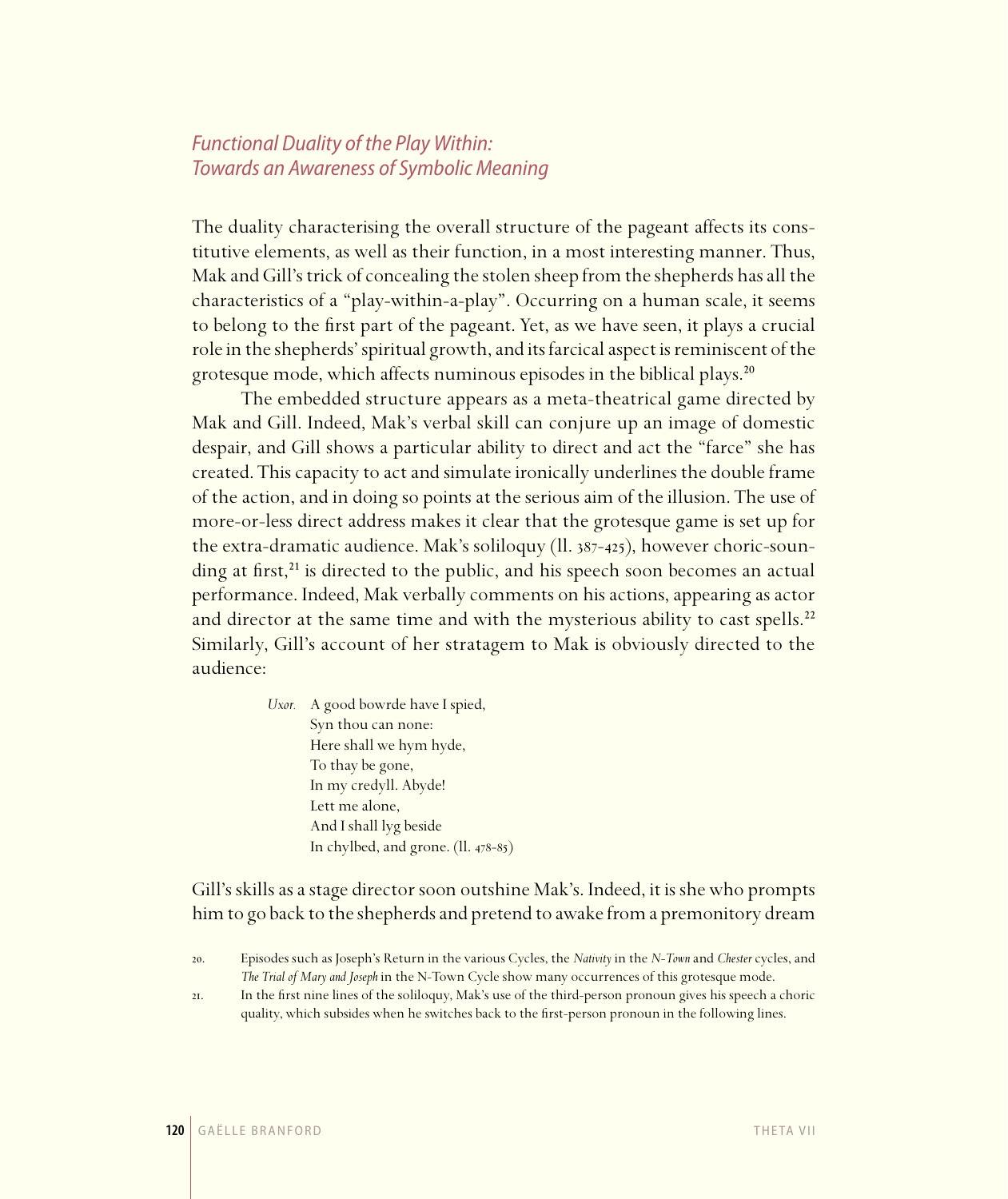# Functional Duality of the Play Within: Towards an Awareness of Symbolic Meaning

The duality characterising the overall structure of the pageant affects its constitutive elements, as well as their function, in a most interesting manner. Thus, Mak and Gill's trick of concealing the stolen sheep from the shepherds has all the characteristics of a "play-within-a-play". Occurring on a human scale, it seems to belong to the first part of the pageant. Yet, as we have seen, it plays a crucial role in the shepherds' spiritual growth, and its farcical aspect is reminiscent of the grotesque mode, which affects numinous episodes in the biblical plays.<sup>20</sup>

The embedded structure appears as a meta-theatrical game directed by Mak and Gill. Indeed, Mak's verbal skill can conjure up an image of domestic despair, and Gill shows a particular ability to direct and act the "farce" she has created. This capacity to act and simulate ironically underlines the double frame of the action, and in doing so points at the serious aim of the illusion. The use of more-or-less direct address makes it clear that the grotesque game is set up for the extra-dramatic audience. Mak's soliloquy  $(11.387-425)$ , however choric-sounding at first, $^{21}$  is directed to the public, and his speech soon becomes an actual performance. Indeed, Mak verbally comments on his actions, appearing as actor and director at the same time and with the mysterious ability to cast spells.<sup>22</sup> Similarly, Gill's account of her stratagem to Mak is obviously directed to the audience:

> *Uxor.* A good bowrde have I spied, Syn thou can none: Here shall we hym hyde, To thay be gone, In my credyll. Abyde! Lett me alone, And I shall lyg beside In chylbed, and grone.  $(11.478-85)$

Gill's skills as a stage director soon outshine Mak's. Indeed, it is she who prompts him to go back to the shepherds and pretend to awake from a premonitory dream

. In the first nine lines of the soliloquy, Mak's use of the third-person pronoun gives his speech a choric quality, which subsides when he switches back to the first-person pronoun in the following lines.

<sup>.</sup> Episodes such as Joseph's Return in the various Cycles, the *Nativity* in the *N-Town* and *Chester* cycles, and *The Trial of Mary and Joseph* in the N-Town Cycle show many occurrences of this grotesque mode.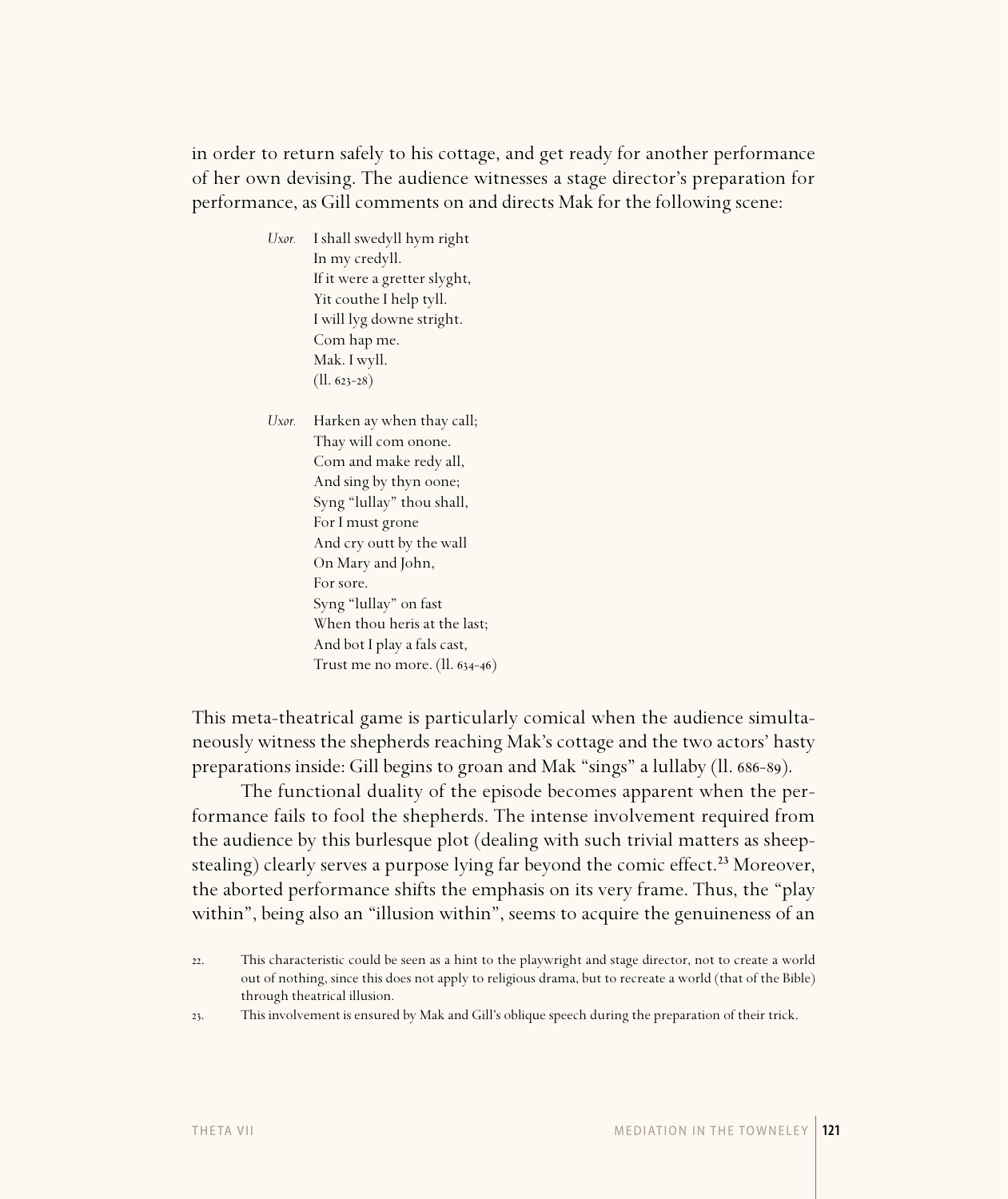in order to return safely to his cottage, and get ready for another performance of her own devising. The audience witnesses a stage director's preparation for performance, as Gill comments on and directs Mak for the following scene:

> *Uxor.* I shall swedyll hym right In my credyll. If it were a gretter slyght, Yit couthe I help tyll. I will lyg downe stright. Com hap me. Mak. I wyll.  $(ll. 623 - 28)$

*Uxor.* Harken ay when thay call; Thay will com onone. Com and make redy all, And sing by thyn oone; Syng "lullay" thou shall, For I must grone And cry outt by the wall On Mary and John, For sore. Syng "lullay" on fast When thou heris at the last; And bot I play a fals cast, Trust me no more.  $(ll. 634-46)$ 

This meta-theatrical game is particularly comical when the audience simultaneously witness the shepherds reaching Mak's cottage and the two actors' hasty preparations inside: Gill begins to groan and Mak "sings" a lullaby (ll. 686-89).

The functional duality of the episode becomes apparent when the performance fails to fool the shepherds. The intense involvement required from the audience by this burlesque plot (dealing with such trivial matters as sheepstealing) clearly serves a purpose lying far beyond the comic effect.<sup>23</sup> Moreover, the aborted performance shifts the emphasis on its very frame. Thus, the "play within", being also an "illusion within", seems to acquire the genuineness of an

. This involvement is ensured by Mak and Gill's oblique speech during the preparation of their trick.

<sup>.</sup> This characteristic could be seen as a hint to the playwright and stage director, not to create a world out of nothing, since this does not apply to religious drama, but to recreate a world (that of the Bible) through theatrical illusion.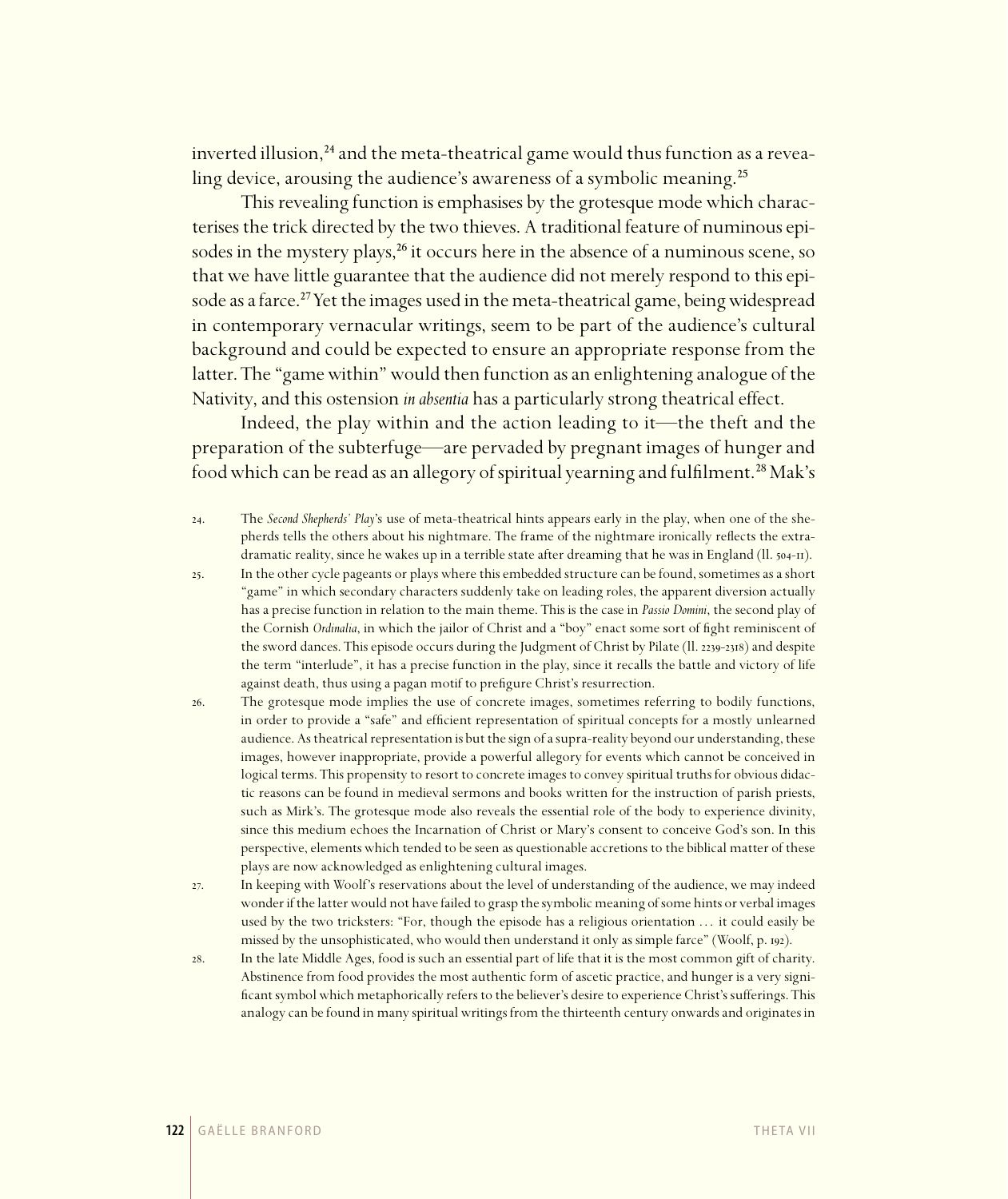inverted illusion,<sup>24</sup> and the meta-theatrical game would thus function as a revealing device, arousing the audience's awareness of a symbolic meaning.<sup>25</sup>

This revealing function is emphasises by the grotesque mode which characterises the trick directed by the two thieves. A traditional feature of numinous episodes in the mystery plays,<sup>26</sup> it occurs here in the absence of a numinous scene, so that we have little guarantee that the audience did not merely respond to this episode as a farce.<sup>27</sup> Yet the images used in the meta-theatrical game, being widespread in contemporary vernacular writings, seem to be part of the audience's cultural background and could be expected to ensure an appropriate response from the latter. The "game within" would then function as an enlightening analogue of the Nativity, and this ostension *in absentia* has a particularly strong theatrical effect.

Indeed, the play within and the action leading to it—the theft and the preparation of the subterfuge—are pervaded by pregnant images of hunger and food which can be read as an allegory of spiritual yearning and fulfilment.<sup>28</sup> Mak's

- . The *Second Shepherds' Play*'s use of meta-theatrical hints appears early in the play, when one of the shepherds tells the others about his nightmare. The frame of the nightmare ironically reflects the extradramatic reality, since he wakes up in a terrible state after dreaming that he was in England ( $11.504$ - $\pi$ ).
- . In the other cycle pageants or plays where this embedded structure can be found, sometimes as a short "game" in which secondary characters suddenly take on leading roles, the apparent diversion actually has a precise function in relation to the main theme. This is the case in *Passio Domini*, the second play of the Cornish *Ordinalia*, in which the jailor of Christ and a "boy" enact some sort of fight reminiscent of the sword dances. This episode occurs during the Judgment of Christ by Pilate (Il. 2239-2318) and despite the term "interlude", it has a precise function in the play, since it recalls the battle and victory of life against death, thus using a pagan motif to prefigure Christ's resurrection.
- . The grotesque mode implies the use of concrete images, sometimes referring to bodily functions, in order to provide a "safe" and efficient representation of spiritual concepts for a mostly unlearned audience. As theatrical representation is but the sign of a supra-reality beyond our understanding, these images, however inappropriate, provide a powerful allegory for events which cannot be conceived in logical terms. This propensity to resort to concrete images to convey spiritual truths for obvious didactic reasons can be found in medieval sermons and books written for the instruction of parish priests, such as Mirk's. The grotesque mode also reveals the essential role of the body to experience divinity, since this medium echoes the Incarnation of Christ or Mary's consent to conceive God's son. In this perspective, elements which tended to be seen as questionable accretions to the biblical matter of these plays are now acknowledged as enlightening cultural images.
- . In keeping with Woolf's reservations about the level of understanding of the audience, we may indeed wonder if the latter would not have failed to grasp the symbolic meaning of some hints or verbal images used by the two tricksters: "For, though the episode has a religious orientation . . . it could easily be missed by the unsophisticated, who would then understand it only as simple farce" (Woolf, p. 192).
- . In the late Middle Ages, food is such an essential part of life that it is the most common gift of charity. Abstinence from food provides the most authentic form of ascetic practice, and hunger is a very significant symbol which metaphorically refers to the believer's desire to experience Christ's sufferings. This analogy can be found in many spiritual writings from the thirteenth century onwards and originates in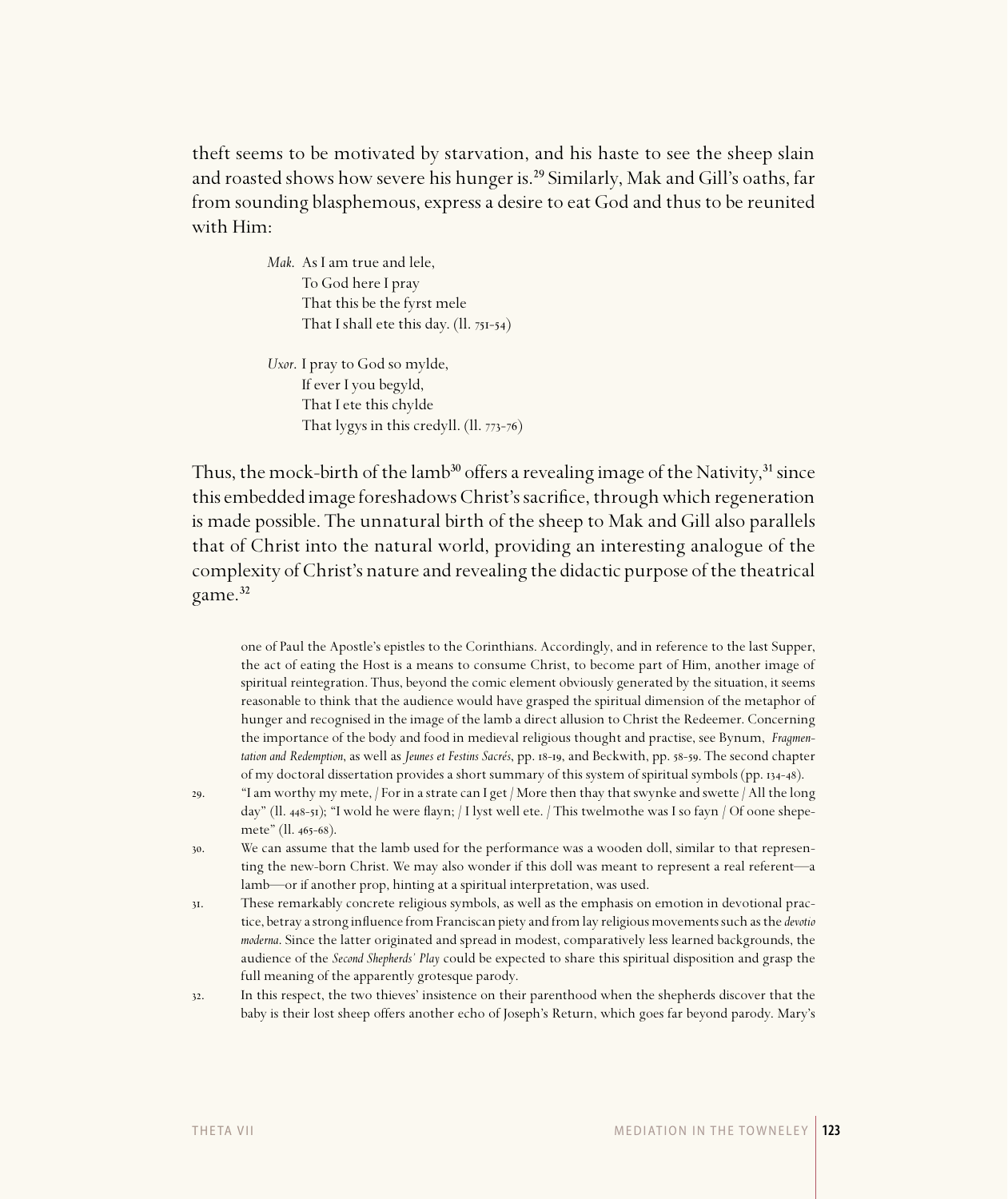theft seems to be motivated by starvation, and his haste to see the sheep slain and roasted shows how severe his hunger is.<sup>29</sup> Similarly, Mak and Gill's oaths, far from sounding blasphemous, express a desire to eat God and thus to be reunited with Him:

> *Mak*. As I am true and lele, To God here I pray That this be the fyrst mele That I shall ete this day.  $(II. 75I-54)$

*Uxor*. I pray to God so mylde, If ever I you begyld, That I ete this chylde That lygys in this credyll.  $(II. 773-76)$ 

Thus, the mock-birth of the lamb<sup>30</sup> offers a revealing image of the Nativity,<sup>31</sup> since this embedded image foreshadows Christ's sacrifice, through which regeneration is made possible. The unnatural birth of the sheep to Mak and Gill also parallels that of Christ into the natural world, providing an interesting analogue of the complexity of Christ's nature and revealing the didactic purpose of the theatrical game.<sup>32</sup>

one of Paul the Apostle's epistles to the Corinthians. Accordingly, and in reference to the last Supper, the act of eating the Host is a means to consume Christ, to become part of Him, another image of spiritual reintegration. Thus, beyond the comic element obviously generated by the situation, it seems reasonable to think that the audience would have grasped the spiritual dimension of the metaphor of hunger and recognised in the image of the lamb a direct allusion to Christ the Redeemer. Concerning the importance of the body and food in medieval religious thought and practise, see Bynum, *Fragmentation and Redemption*, as well as *Jeunes et Festins Sacrés*, pp. 18-19, and Beckwith, pp. 58-59. The second chapter of my doctoral dissertation provides a short summary of this system of spiritual symbols (pp. 134-48).

- 29. "I am worthy my mete, / For in a strate can I get / More then thay that swynke and swette / All the long day" (ll.  $_{448-51}$ ); "I wold he were flayn; / I lyst well ete. / This twelmothe was I so fayn / Of oone shepemete" (ll. 465-68).
- . We can assume that the lamb used for the performance was a wooden doll, similar to that representing the new-born Christ. We may also wonder if this doll was meant to represent a real referent—a lamb—or if another prop, hinting at a spiritual interpretation, was used.
- . These remarkably concrete religious symbols, as well as the emphasis on emotion in devotional practice, betray a strong influence from Franciscan piety and from lay religious movements such as the *devotio moderna*. Since the latter originated and spread in modest, comparatively less learned backgrounds, the audience of the *Second Shepherds' Play* could be expected to share this spiritual disposition and grasp the full meaning of the apparently grotesque parody.
- . In this respect, the two thieves' insistence on their parenthood when the shepherds discover that the baby is their lost sheep offers another echo of Joseph's Return, which goes far beyond parody. Mary's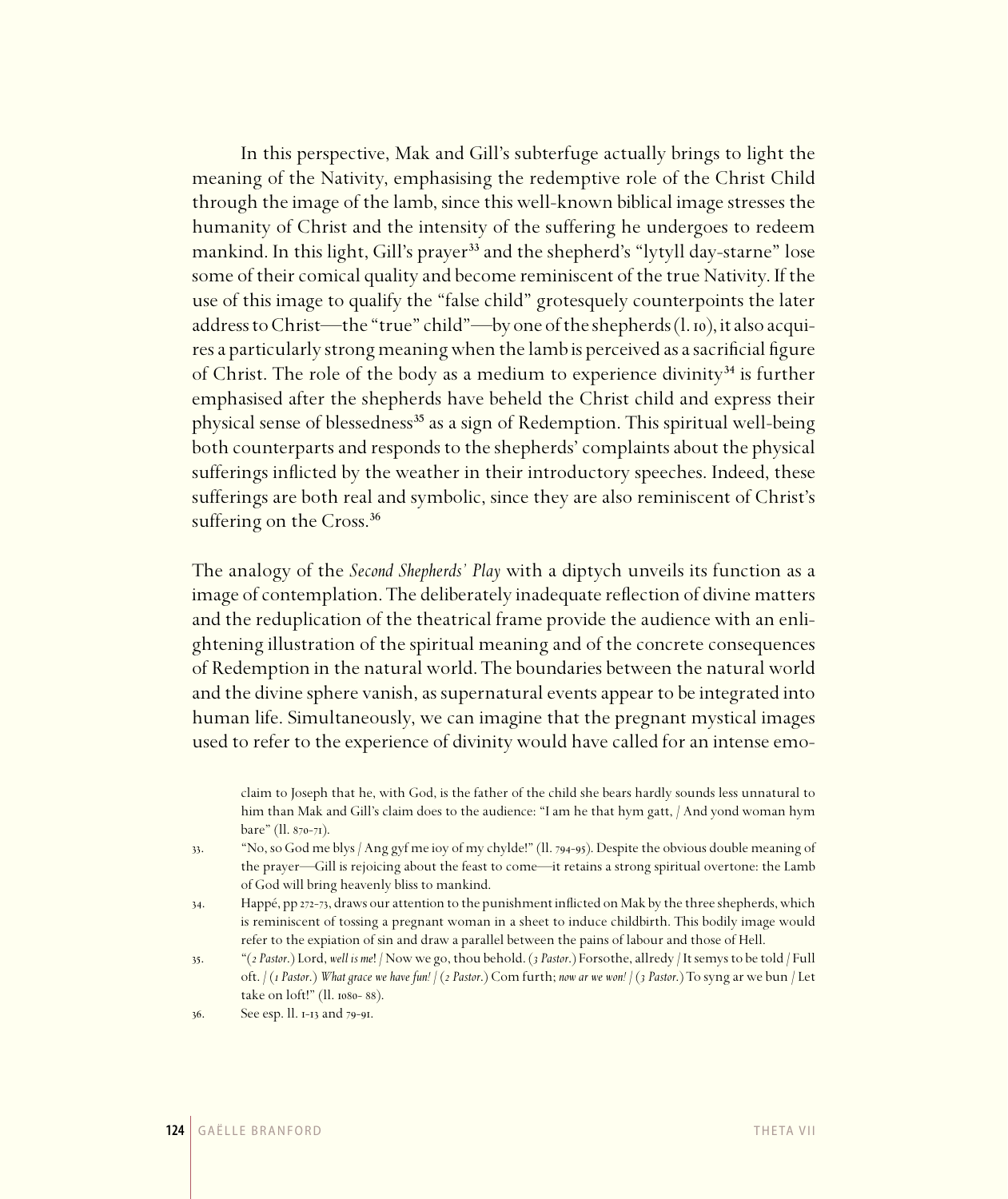In this perspective, Mak and Gill's subterfuge actually brings to light the meaning of the Nativity, emphasising the redemptive role of the Christ Child through the image of the lamb, since this well-known biblical image stresses the humanity of Christ and the intensity of the suffering he undergoes to redeem mankind. In this light, Gill's prayer<sup>33</sup> and the shepherd's "lytyll day-starne" lose some of their comical quality and become reminiscent of the true Nativity. If the use of this image to qualify the "false child" grotesquely counterpoints the later address to Christ—the "true" child"—by one of the shepherds (l. 10), it also acquires a particularly strong meaning when the lamb is perceived as a sacrificial figure of Christ. The role of the body as a medium to experience divinity $34$  is further emphasised after the shepherds have beheld the Christ child and express their physical sense of blessedness<sup>35</sup> as a sign of Redemption. This spiritual well-being both counterparts and responds to the shepherds' complaints about the physical sufferings inflicted by the weather in their introductory speeches. Indeed, these sufferings are both real and symbolic, since they are also reminiscent of Christ's suffering on the Cross.<sup>36</sup>

The analogy of the *Second Shepherds' Play* with a diptych unveils its function as a image of contemplation. The deliberately inadequate reflection of divine matters and the reduplication of the theatrical frame provide the audience with an enlightening illustration of the spiritual meaning and of the concrete consequences of Redemption in the natural world. The boundaries between the natural world and the divine sphere vanish, as supernatural events appear to be integrated into human life. Simultaneously, we can imagine that the pregnant mystical images used to refer to the experience of divinity would have called for an intense emo-

claim to Joseph that he, with God, is the father of the child she bears hardly sounds less unnatural to him than Mak and Gill's claim does to the audience: "I am he that hym gatt, / And yond woman hym bare" (ll. 870-71).

- 33. "No, so God me blys / Ang gyf me ioy of my chylde!" (Il. 794-95). Despite the obvious double meaning of the prayer—Gill is rejoicing about the feast to come—it retains a strong spiritual overtone: the Lamb of God will bring heavenly bliss to mankind.
- 34. Happé, pp 272-73, draws our attention to the punishment inflicted on Mak by the three shepherds, which is reminiscent of tossing a pregnant woman in a sheet to induce childbirth. This bodily image would refer to the expiation of sin and draw a parallel between the pains of labour and those of Hell.
- . "(*2 Pastor*.) Lord, *well is me*! / Now we go, thou behold. (*3 Pastor*.) Forsothe, allredy / It semys to be told / Full oft. / (*1 Pastor*.) *What grace we have fun!* / (*2 Pastor*.) Com furth; *now ar we won!* / (*3 Pastor*.) To syng ar we bun / Let take on loft!" (ll. 1080-88).
- 36. See esp. ll. 1-13 and 79-91.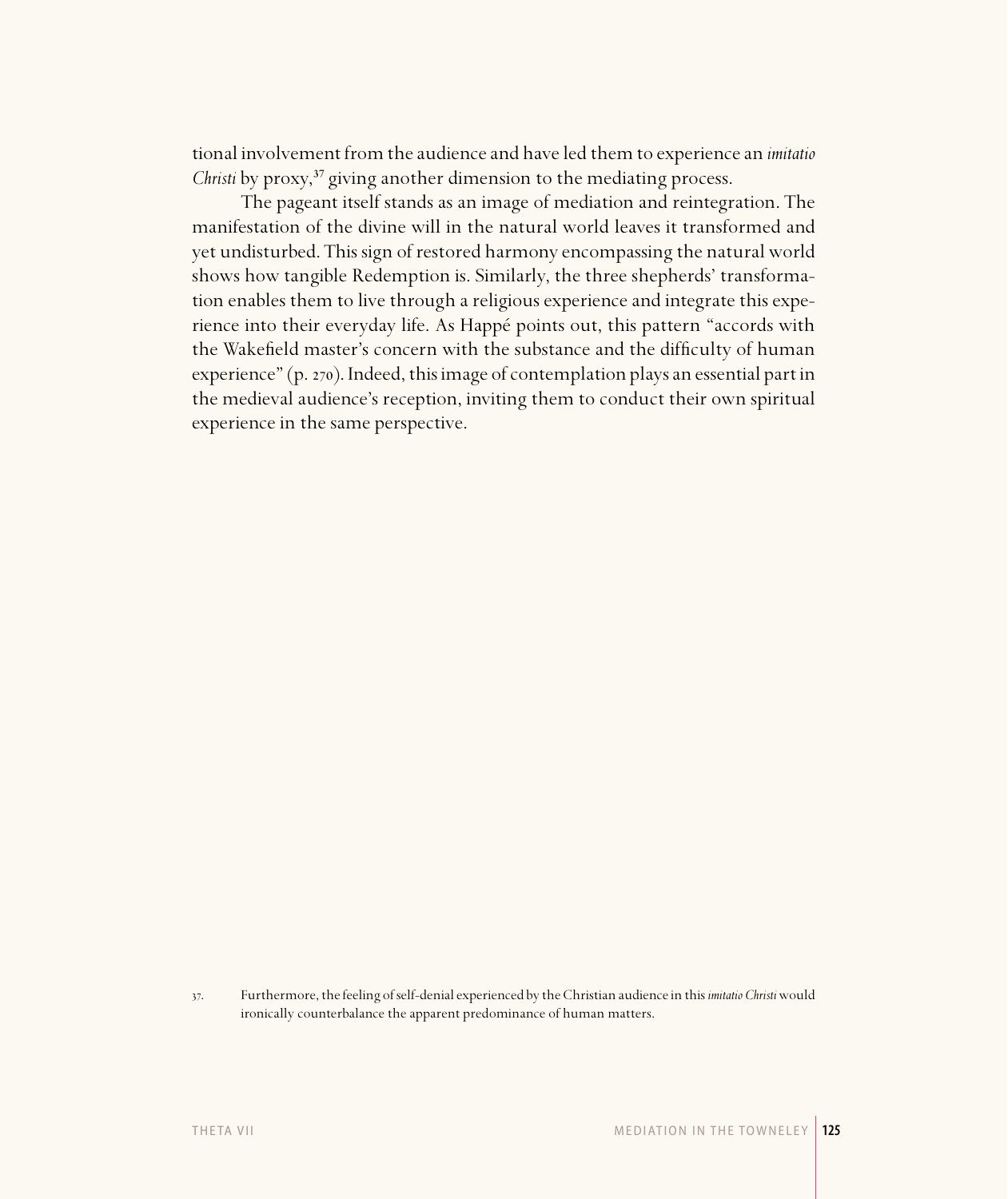tional involvement from the audience and have led them to experience an *imitatio Christi* by proxy,<sup>37</sup> giving another dimension to the mediating process.

The pageant itself stands as an image of mediation and reintegration. The manifestation of the divine will in the natural world leaves it transformed and yet undisturbed. This sign of restored harmony encompassing the natural world shows how tangible Redemption is. Similarly, the three shepherds' transformation enables them to live through a religious experience and integrate this experience into their everyday life. As Happé points out, this pattern "accords with the Wakefield master's concern with the substance and the difficulty of human experience" (p. 270). Indeed, this image of contemplation plays an essential part in the medieval audience's reception, inviting them to conduct their own spiritual experience in the same perspective.

<sup>.</sup> Furthermore, the feeling of self-denial experienced by the Christian audience in this *imitatio Christi* would ironically counterbalance the apparent predominance of human matters.